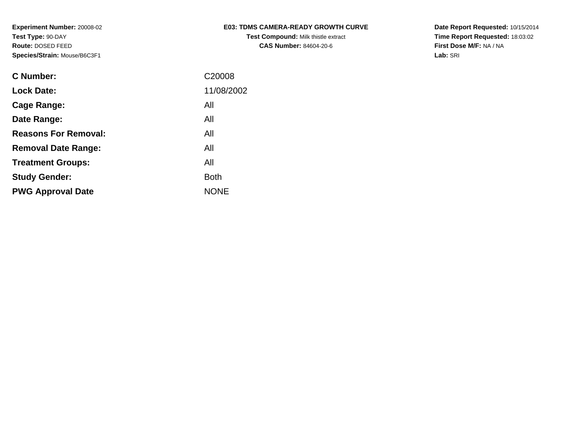| <b>E03: TDMS CAMERA-READY GROWTH CURVE</b> |  |
|--------------------------------------------|--|
| <b>Test Compound: Milk thistle extract</b> |  |

**CAS Number:** 84604-20-6

**Date Report Requested:** 10/15/2014 **Time Report Requested:** 18:03:02**First Dose M/F:** NA / NA**Lab:** SRI

| <b>C</b> Number:            | C <sub>20008</sub> |
|-----------------------------|--------------------|
| <b>Lock Date:</b>           | 11/08/2002         |
| Cage Range:                 | All                |
| Date Range:                 | All                |
| <b>Reasons For Removal:</b> | All                |
| <b>Removal Date Range:</b>  | All                |
| <b>Treatment Groups:</b>    | All                |
| <b>Study Gender:</b>        | <b>Both</b>        |
| <b>PWG Approval Date</b>    | <b>NONE</b>        |
|                             |                    |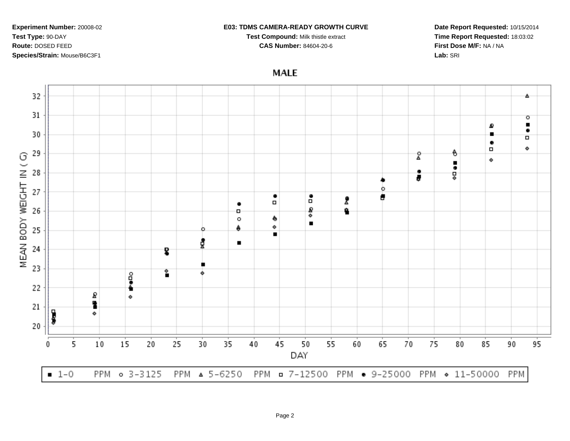### **E03: TDMS CAMERA-READY GROWTH CURVE**

**Test Compound:** Milk thistle extract

**CAS Number:** 84604-20-6

**Date Report Requested:** 10/15/2014**Time Report Requested:** 18:03:02**First Dose M/F:** NA / NA**Lab:** SRI

**MALE** 

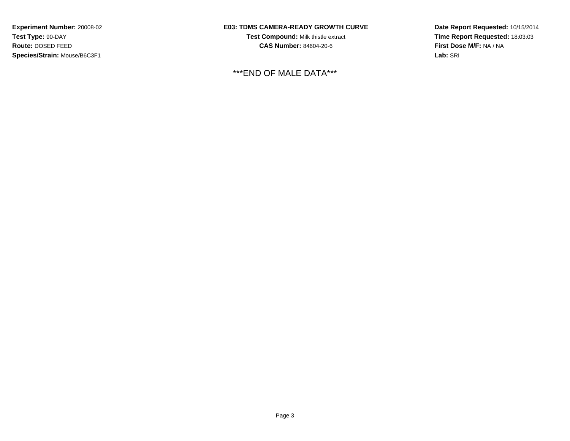## **E03: TDMS CAMERA-READY GROWTH CURVE**

**Test Compound:** Milk thistle extract**CAS Number:** 84604-20-6

\*\*\*END OF MALE DATA\*\*\*

**Date Report Requested:** 10/15/2014**Time Report Requested:** 18:03:03**First Dose M/F:** NA / NA**Lab:** SRI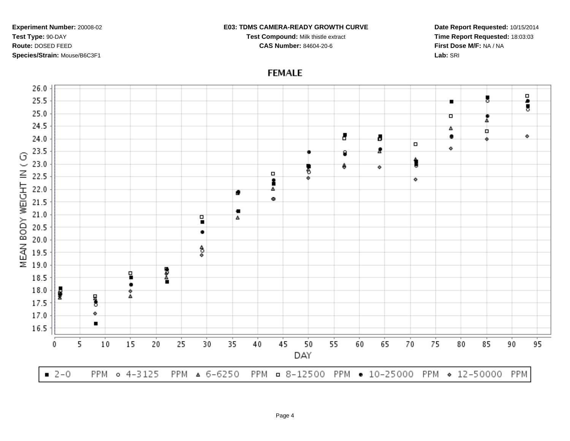### **E03: TDMS CAMERA-READY GROWTH CURVE**

**Test Compound:** Milk thistle extract

**CAS Number:** 84604-20-6

**Date Report Requested:** 10/15/2014**Time Report Requested:** 18:03:03**First Dose M/F:** NA / NA**Lab:** SRI



# **FEMALE**